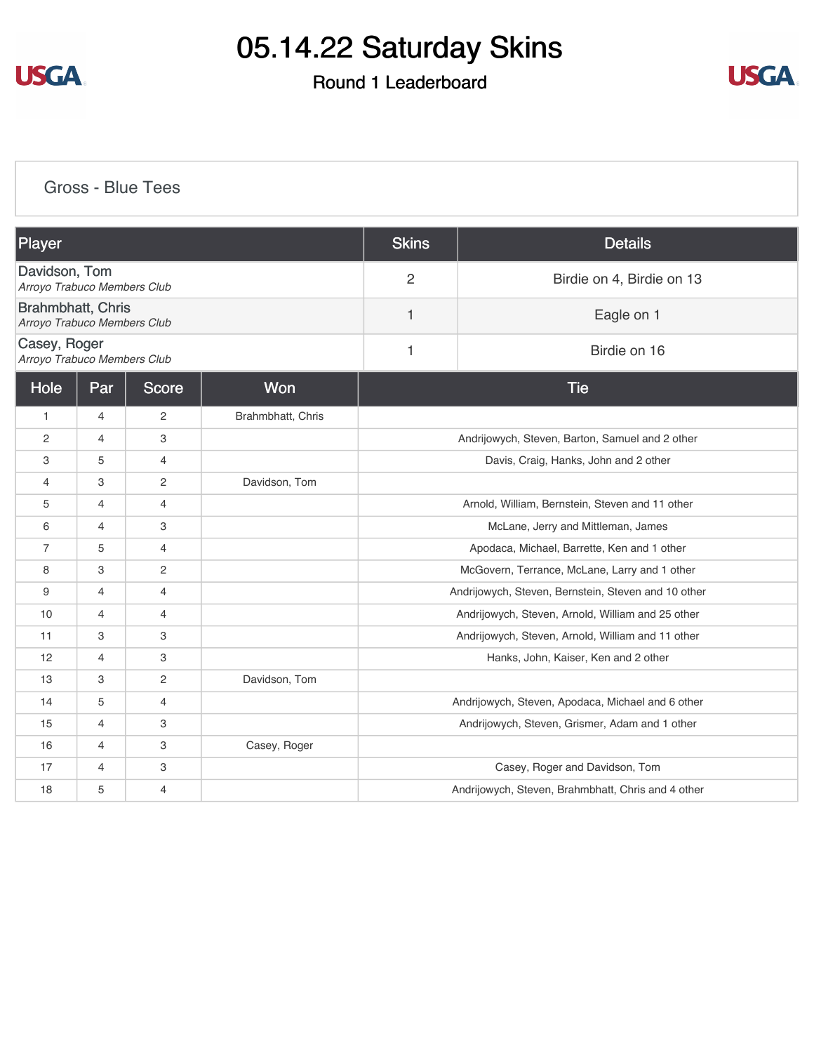

#### Round 1 Leaderboard



[Gross - Blue Tees](https://static.golfgenius.com/v2tournaments/8471792051019604173?called_from=&round_index=1)

| Player                                           |                |                |                   | <b>Skins</b>                                        | <b>Details</b>                                     |
|--------------------------------------------------|----------------|----------------|-------------------|-----------------------------------------------------|----------------------------------------------------|
| Davidson, Tom<br>Arroyo Trabuco Members Club     |                |                |                   | $\overline{2}$                                      | Birdie on 4, Birdie on 13                          |
| Brahmbhatt, Chris<br>Arroyo Trabuco Members Club |                |                |                   | 1                                                   | Eagle on 1                                         |
| Casey, Roger<br>Arroyo Trabuco Members Club      |                |                |                   | 1                                                   | Birdie on 16                                       |
| <b>Score</b><br><b>Won</b><br>Hole<br>Par        |                |                |                   |                                                     | <b>Tie</b>                                         |
| $\mathbf{1}$                                     | 4              | $\overline{c}$ | Brahmbhatt, Chris |                                                     |                                                    |
| 2                                                | 4              | 3              |                   |                                                     | Andrijowych, Steven, Barton, Samuel and 2 other    |
| 3                                                | 5              | $\overline{4}$ |                   |                                                     | Davis, Craig, Hanks, John and 2 other              |
| 4                                                | 3              | 2              | Davidson, Tom     |                                                     |                                                    |
| 5                                                | 4              | $\overline{4}$ |                   | Arnold, William, Bernstein, Steven and 11 other     |                                                    |
| 6                                                | 4              | 3              |                   | McLane, Jerry and Mittleman, James                  |                                                    |
| $\overline{7}$                                   | 5              | 4              |                   | Apodaca, Michael, Barrette, Ken and 1 other         |                                                    |
| 8                                                | 3              | 2              |                   | McGovern, Terrance, McLane, Larry and 1 other       |                                                    |
| 9                                                | 4              | $\overline{4}$ |                   | Andrijowych, Steven, Bernstein, Steven and 10 other |                                                    |
| 10                                               | $\overline{4}$ | 4              |                   |                                                     | Andrijowych, Steven, Arnold, William and 25 other  |
| 11                                               | 3              | 3              |                   |                                                     | Andrijowych, Steven, Arnold, William and 11 other  |
| 12                                               | $\overline{4}$ | 3              |                   |                                                     | Hanks, John, Kaiser, Ken and 2 other               |
| 13                                               | 3              | $\mathbf{2}$   | Davidson, Tom     |                                                     |                                                    |
| 14                                               | 5              | 4              |                   |                                                     | Andrijowych, Steven, Apodaca, Michael and 6 other  |
| 15                                               | 4              | 3              |                   |                                                     | Andrijowych, Steven, Grismer, Adam and 1 other     |
| 16                                               | 4              | 3              | Casey, Roger      |                                                     |                                                    |
| 17                                               | 4              | 3              |                   |                                                     | Casey, Roger and Davidson, Tom                     |
| 18                                               | 5              | $\overline{4}$ |                   |                                                     | Andrijowych, Steven, Brahmbhatt, Chris and 4 other |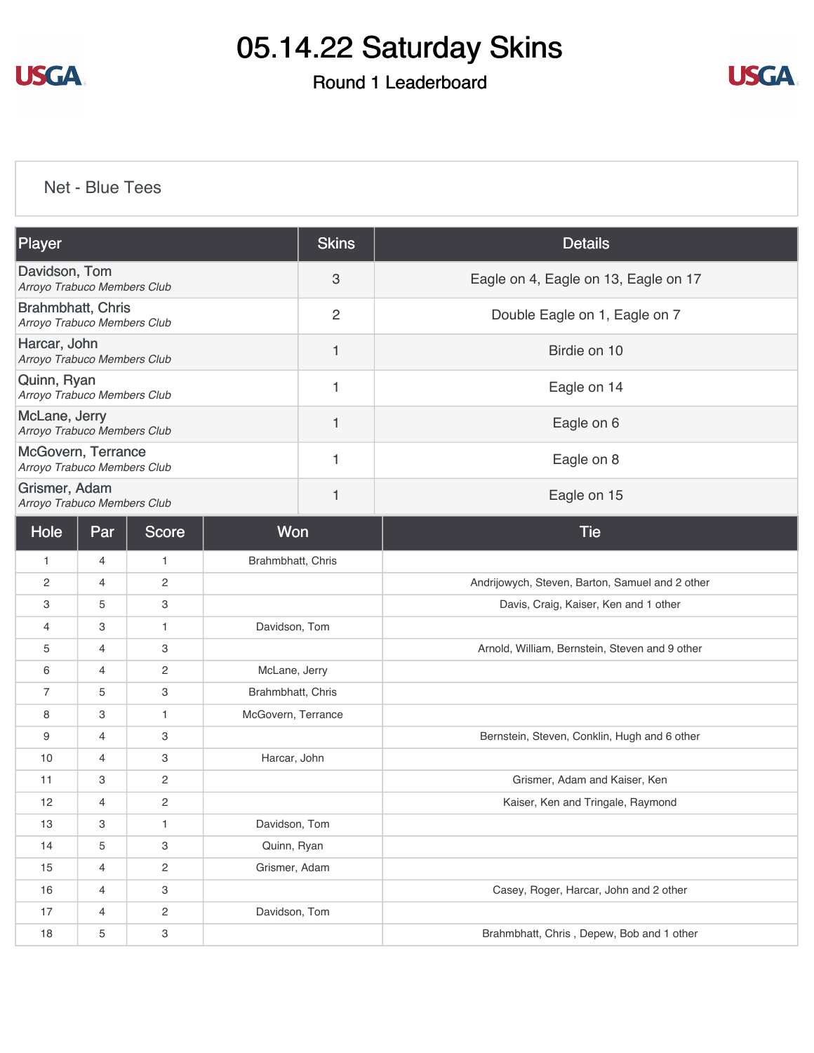

### Round 1 Leaderboard



[Net - Blue Tees](https://static.golfgenius.com/v2tournaments/8471795591951704270?called_from=&round_index=1)

| Player                                                  |                                         |                |                   | <b>Skins</b>   | <b>Details</b>                                  |
|---------------------------------------------------------|-----------------------------------------|----------------|-------------------|----------------|-------------------------------------------------|
| Davidson, Tom<br>Arroyo Trabuco Members Club            |                                         |                |                   | 3              | Eagle on 4, Eagle on 13, Eagle on 17            |
| <b>Brahmbhatt, Chris</b><br>Arroyo Trabuco Members Club |                                         |                |                   | $\overline{c}$ | Double Eagle on 1, Eagle on 7                   |
| Harcar, John<br>Arroyo Trabuco Members Club             |                                         |                |                   | 1              | Birdie on 10                                    |
| Quinn, Ryan<br>Arroyo Trabuco Members Club              |                                         |                |                   | 1              | Eagle on 14                                     |
| McLane, Jerry<br>Arroyo Trabuco Members Club            |                                         |                |                   | 1              | Eagle on 6                                      |
| McGovern, Terrance<br>Arroyo Trabuco Members Club       |                                         |                |                   | 1              | Eagle on 8                                      |
| Grismer, Adam<br>Arroyo Trabuco Members Club            |                                         |                |                   | 1              | Eagle on 15                                     |
| Hole                                                    | Won<br><b>Score</b><br>Par              |                |                   | <b>Tie</b>     |                                                 |
| $\mathbf{1}$                                            | 4                                       | $\mathbf{1}$   | Brahmbhatt, Chris |                |                                                 |
| 2                                                       | 4                                       | $\overline{c}$ |                   |                | Andrijowych, Steven, Barton, Samuel and 2 other |
| 3                                                       | 5                                       | 3              |                   |                | Davis, Craig, Kaiser, Ken and 1 other           |
| 4                                                       | Davidson, Tom<br>3<br>$\mathbf{1}$      |                |                   |                |                                                 |
| 5                                                       | 4                                       | 3              |                   |                | Arnold, William, Bernstein, Steven and 9 other  |
| 6                                                       | 2<br>McLane, Jerry<br>4                 |                |                   |                |                                                 |
| 7                                                       | 3<br>Brahmbhatt, Chris<br>5             |                |                   |                |                                                 |
| 8                                                       | 3<br>$\mathbf{1}$<br>McGovern, Terrance |                |                   |                |                                                 |
| 9                                                       | 4                                       | 3              |                   |                | Bernstein, Steven, Conklin, Hugh and 6 other    |
| 10                                                      | 4                                       | 3              | Harcar, John      |                |                                                 |
| 11                                                      | 3                                       | $\overline{c}$ |                   |                | Grismer, Adam and Kaiser, Ken                   |
| 12                                                      | 4                                       | $\mathbf{2}$   |                   |                | Kaiser, Ken and Tringale, Raymond               |
| 13                                                      | 3                                       | $\mathbf{1}$   | Davidson, Tom     |                |                                                 |
| 14                                                      | 5                                       | 3              | Quinn, Ryan       |                |                                                 |
| 15                                                      | 4                                       | $\overline{c}$ | Grismer, Adam     |                |                                                 |
| 16                                                      | 4                                       | 3              |                   |                | Casey, Roger, Harcar, John and 2 other          |
| 17                                                      | 4                                       | $\overline{c}$ | Davidson, Tom     |                |                                                 |
| 18                                                      | 5                                       | 3              |                   |                | Brahmbhatt, Chris, Depew, Bob and 1 other       |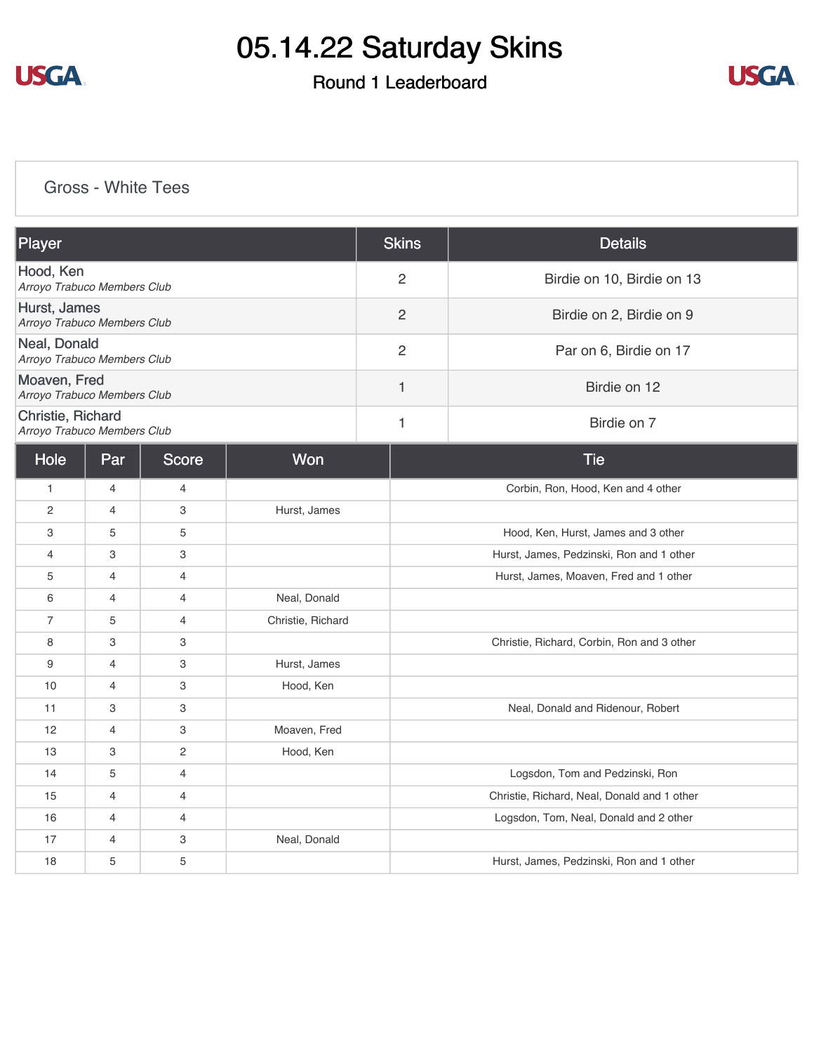

### Round 1 Leaderboard



#### [Gross - White Tees](https://static.golfgenius.com/v2tournaments/8471796445106692303?called_from=&round_index=1)

| Player                                           |                |                |                   | <b>Skins</b>   | <b>Details</b>                              |  |
|--------------------------------------------------|----------------|----------------|-------------------|----------------|---------------------------------------------|--|
| Hood, Ken<br>Arroyo Trabuco Members Club         |                |                |                   | $\overline{2}$ | Birdie on 10, Birdie on 13                  |  |
| Hurst, James<br>Arroyo Trabuco Members Club      |                |                |                   | $\overline{c}$ | Birdie on 2, Birdie on 9                    |  |
| Neal, Donald<br>Arroyo Trabuco Members Club      |                |                |                   | $\overline{c}$ | Par on 6, Birdie on 17                      |  |
| Moaven, Fred<br>Arroyo Trabuco Members Club      |                |                |                   | $\mathbf{1}$   | Birdie on 12                                |  |
| Christie, Richard<br>Arroyo Trabuco Members Club |                |                |                   | 1              | Birdie on 7                                 |  |
| Hole                                             | Par            | Score          | Won               |                | <b>Tie</b>                                  |  |
| $\mathbf{1}$                                     | 4              | 4              |                   |                | Corbin, Ron, Hood, Ken and 4 other          |  |
| 2                                                | $\overline{4}$ | 3              | Hurst, James      |                |                                             |  |
| 3                                                | 5              | 5              |                   |                | Hood, Ken, Hurst, James and 3 other         |  |
| $\overline{4}$                                   | 3              | 3              |                   |                | Hurst, James, Pedzinski, Ron and 1 other    |  |
| 5                                                | 4              | $\overline{4}$ |                   |                | Hurst, James, Moaven, Fred and 1 other      |  |
| 6                                                | 4              | 4              | Neal, Donald      |                |                                             |  |
| $\overline{7}$                                   | 5              | $\overline{4}$ | Christie, Richard |                |                                             |  |
| 8                                                | 3              | 3              |                   |                | Christie, Richard, Corbin, Ron and 3 other  |  |
| 9                                                | 4              | 3              | Hurst, James      |                |                                             |  |
| 10                                               | 4              | 3              | Hood, Ken         |                |                                             |  |
| 11                                               | 3              | 3              |                   |                | Neal, Donald and Ridenour, Robert           |  |
| 12                                               | 4              | 3              | Moaven, Fred      |                |                                             |  |
| 13                                               | 3              | 2              | Hood, Ken         |                |                                             |  |
| 14                                               | 5              | $\overline{4}$ |                   |                | Logsdon, Tom and Pedzinski, Ron             |  |
| 15                                               | $\overline{4}$ | $\overline{4}$ |                   |                | Christie, Richard, Neal, Donald and 1 other |  |
| 16                                               | 4              | 4              |                   |                | Logsdon, Tom, Neal, Donald and 2 other      |  |
| 17                                               | $\overline{4}$ | 3              | Neal, Donald      |                |                                             |  |
| 18                                               | 5              | 5              |                   |                | Hurst, James, Pedzinski, Ron and 1 other    |  |